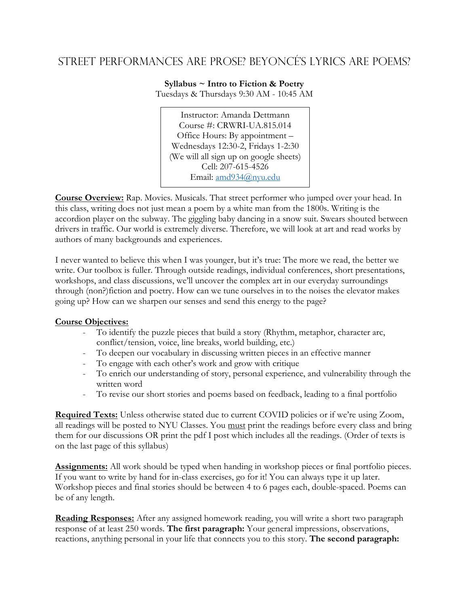# Street PERFORMANCEs are prose? Beyoncé's lyrics are poems?

**Syllabus ~ Intro to Fiction & Poetry** Tuesdays & Thursdays 9:30 AM - 10:45 AM

Instructor: Amanda Dettmann Course #: CRWRI-UA.815.014 Office Hours: By appointment – Wednesdays 12:30-2, Fridays 1-2:30 (We will all sign up on google sheets) Cell: 207-615-4526 Email: [amd934@nyu.edu](mailto:amd934@nyu.edu)

**Course Overview:** Rap. Movies. Musicals. That street performer who jumped over your head. In this class, writing does not just mean a poem by a white man from the 1800s. Writing is the accordion player on the subway. The giggling baby dancing in a snow suit. Swears shouted between drivers in traffic. Our world is extremely diverse. Therefore, we will look at art and read works by authors of many backgrounds and experiences.

I never wanted to believe this when I was younger, but it's true: The more we read, the better we write. Our toolbox is fuller. Through outside readings, individual conferences, short presentations, workshops, and class discussions, we'll uncover the complex art in our everyday surroundings through (non?)fiction and poetry. How can we tune ourselves in to the noises the elevator makes going up? How can we sharpen our senses and send this energy to the page?

# **Course Objectives:**

- To identify the puzzle pieces that build a story (Rhythm, metaphor, character arc, conflict/tension, voice, line breaks, world building, etc.)
- To deepen our vocabulary in discussing written pieces in an effective manner
- To engage with each other's work and grow with critique
- To enrich our understanding of story, personal experience, and vulnerability through the written word
- To revise our short stories and poems based on feedback, leading to a final portfolio

**Required Texts:** Unless otherwise stated due to current COVID policies or if we're using Zoom, all readings will be posted to NYU Classes. You must print the readings before every class and bring them for our discussions OR print the pdf I post which includes all the readings. (Order of texts is on the last page of this syllabus)

**Assignments:** All work should be typed when handing in workshop pieces or final portfolio pieces. If you want to write by hand for in-class exercises, go for it! You can always type it up later. Workshop pieces and final stories should be between 4 to 6 pages each, double-spaced. Poems can be of any length.

**Reading Responses:** After any assigned homework reading, you will write a short two paragraph response of at least 250 words. **The first paragraph:** Your general impressions, observations, reactions, anything personal in your life that connects you to this story. **The second paragraph:**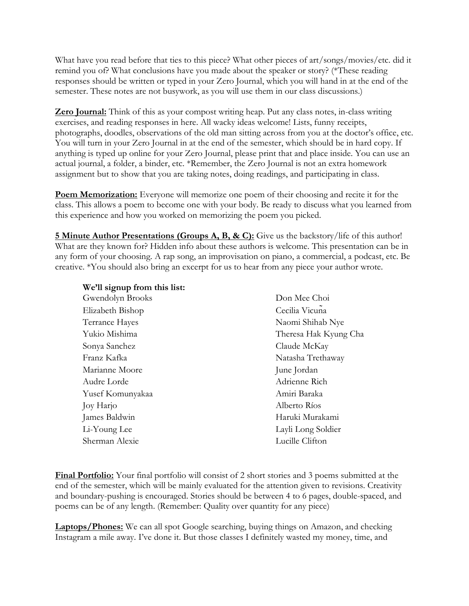What have you read before that ties to this piece? What other pieces of art/songs/movies/etc. did it remind you of? What conclusions have you made about the speaker or story? (\*These reading responses should be written or typed in your Zero Journal, which you will hand in at the end of the semester. These notes are not busywork, as you will use them in our class discussions.)

**Zero Journal:** Think of this as your compost writing heap. Put any class notes, in-class writing exercises, and reading responses in here. All wacky ideas welcome! Lists, funny receipts, photographs, doodles, observations of the old man sitting across from you at the doctor's office, etc. You will turn in your Zero Journal in at the end of the semester, which should be in hard copy. If anything is typed up online for your Zero Journal, please print that and place inside. You can use an actual journal, a folder, a binder, etc. \*Remember, the Zero Journal is not an extra homework assignment but to show that you are taking notes, doing readings, and participating in class.

**Poem Memorization:** Everyone will memorize one poem of their choosing and recite it for the class. This allows a poem to become one with your body. Be ready to discuss what you learned from this experience and how you worked on memorizing the poem you picked.

**5 Minute Author Presentations (Groups A, B, & C):** Give us the backstory/life of this author! What are they known for? Hidden info about these authors is welcome. This presentation can be in any form of your choosing. A rap song, an improvisation on piano, a commercial, a podcast, etc. Be creative. \*You should also bring an excerpt for us to hear from any piece your author wrote.

| We'll signup from this list: |                       |
|------------------------------|-----------------------|
| Gwendolyn Brooks             | Don Mee Choi          |
| Elizabeth Bishop             | Cecilia Vicuna        |
| Terrance Hayes               | Naomi Shihab Nye      |
| Yukio Mishima                | Theresa Hak Kyung Cha |
| Sonya Sanchez                | Claude McKay          |
| Franz Kafka                  | Natasha Trethaway     |
| Marianne Moore               | June Jordan           |
| Audre Lorde                  | Adrienne Rich         |
| Yusef Komunyakaa             | Amiri Baraka          |
| Joy Harjo                    | Alberto Ríos          |
| James Baldwin                | Haruki Murakami       |
| Li-Young Lee                 | Layli Long Soldier    |
| Sherman Alexie               | Lucille Clifton       |

**Final Portfolio:** Your final portfolio will consist of 2 short stories and 3 poems submitted at the end of the semester, which will be mainly evaluated for the attention given to revisions. Creativity and boundary-pushing is encouraged. Stories should be between 4 to 6 pages, double-spaced, and poems can be of any length. (Remember: Quality over quantity for any piece)

Laptops/Phones: We can all spot Google searching, buying things on Amazon, and checking Instagram a mile away. I've done it. But those classes I definitely wasted my money, time, and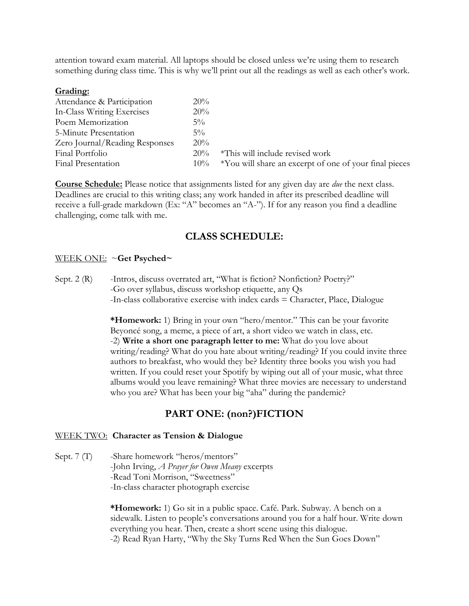attention toward exam material. All laptops should be closed unless we're using them to research something during class time. This is why we'll print out all the readings as well as each other's work.

#### **Grading:**

| Attendance & Participation     | $20\%$ |                                                        |
|--------------------------------|--------|--------------------------------------------------------|
| In-Class Writing Exercises     | 20%    |                                                        |
| Poem Memorization              | $5\%$  |                                                        |
| 5-Minute Presentation          | $5\%$  |                                                        |
| Zero Journal/Reading Responses | 20%    |                                                        |
| Final Portfolio                | $20\%$ | *This will include revised work                        |
| Final Presentation             | $10\%$ | *You will share an excerpt of one of your final pieces |

**Course Schedule:** Please notice that assignments listed for any given day are *due* the next class. Deadlines are crucial to this writing class; any work handed in after its prescribed deadline will receive a full-grade markdown (Ex: "A" becomes an "A-"). If for any reason you find a deadline challenging, come talk with me.

# **CLASS SCHEDULE:**

#### WEEK ONE: ~**Get Psyched~**

Sept. 2 (R) -Intros, discuss overrated art, "What is fiction? Nonfiction? Poetry?" -Go over syllabus, discuss workshop etiquette, any Qs -In-class collaborative exercise with index cards = Character, Place, Dialogue

> **\*Homework:** 1) Bring in your own "hero/mentor." This can be your favorite Beyoncé song, a meme, a piece of art, a short video we watch in class, etc. -2) **Write a short one paragraph letter to me:** What do you love about writing/reading? What do you hate about writing/reading? If you could invite three authors to breakfast, who would they be? Identity three books you wish you had written. If you could reset your Spotify by wiping out all of your music, what three albums would you leave remaining? What three movies are necessary to understand who you are? What has been your big "aha" during the pandemic?

# **PART ONE: (non?)FICTION**

#### WEEK TWO: **Character as Tension & Dialogue**

Sept. 7 (T) -Share homework "heros/mentors" -John Irving, *A Prayer for Owen Meany* excerpts -Read Toni Morrison, "Sweetness" -In-class character photograph exercise

> **\*Homework:** 1) Go sit in a public space. Café. Park. Subway. A bench on a sidewalk. Listen to people's conversations around you for a half hour. Write down everything you hear. Then, create a short scene using this dialogue. -2) Read Ryan Harty, "Why the Sky Turns Red When the Sun Goes Down"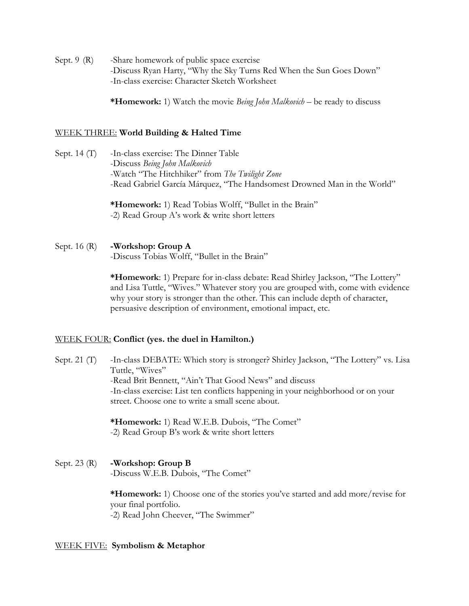Sept. 9 (R) -Share homework of public space exercise -Discuss Ryan Harty, "Why the Sky Turns Red When the Sun Goes Down" -In-class exercise: Character Sketch Worksheet

**\*Homework:** 1) Watch the movie *Being John Malkovich* – be ready to discuss

### WEEK THREE: **World Building & Halted Time**

Sept. 14 (T) -In-class exercise: The Dinner Table -Discuss *Being John Malkovich* -Watch "The Hitchhiker" from *The Twilight Zone* -Read Gabriel García Márquez, "The Handsomest Drowned Man in the World"

> **\*Homework:** 1) Read Tobias Wolff, "Bullet in the Brain" -2) Read Group A's work & write short letters

Sept. 16 (R) **-Workshop: Group A** -Discuss Tobias Wolff, "Bullet in the Brain"

> **\*Homework**: 1) Prepare for in-class debate: Read Shirley Jackson, "The Lottery" and Lisa Tuttle, "Wives." Whatever story you are grouped with, come with evidence why your story is stronger than the other. This can include depth of character, persuasive description of environment, emotional impact, etc.

#### WEEK FOUR: **Conflict (yes. the duel in Hamilton.)**

Sept. 21 (T) -In-class DEBATE: Which story is stronger? Shirley Jackson, "The Lottery" vs. Lisa Tuttle, "Wives" -Read Brit Bennett, "Ain't That Good News" and discuss -In-class exercise: List ten conflicts happening in your neighborhood or on your street. Choose one to write a small scene about.

> **\*Homework:** 1) Read W.E.B. Dubois, "The Comet" -2) Read Group B's work & write short letters

Sept. 23 (R) **-Workshop: Group B** -Discuss W.E.B. Dubois, "The Comet"

> **\*Homework:** 1) Choose one of the stories you've started and add more/revise for your final portfolio. -2) Read John Cheever, "The Swimmer"

#### WEEK FIVE: **Symbolism & Metaphor**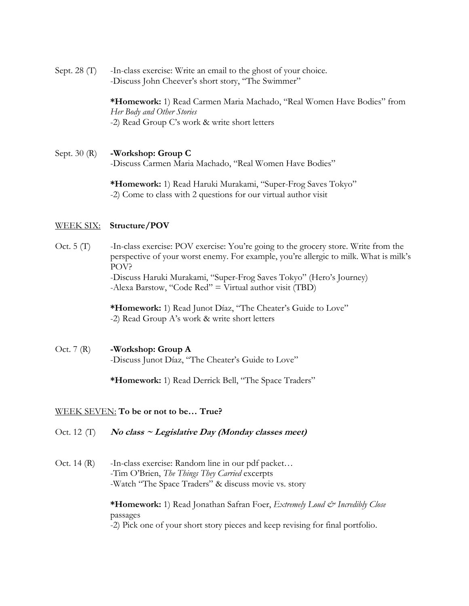Sept. 28 (T) -In-class exercise: Write an email to the ghost of your choice. -Discuss John Cheever's short story, "The Swimmer"

> **\*Homework:** 1) Read Carmen Maria Machado, "Real Women Have Bodies" from *Her Body and Other Stories* -2) Read Group C's work & write short letters

Sept. 30 (R) **-Workshop: Group C** -Discuss Carmen Maria Machado, "Real Women Have Bodies"

> **\*Homework:** 1) Read Haruki Murakami, "Super-Frog Saves Tokyo" -2) Come to class with 2 questions for our virtual author visit

#### WEEK SIX: **Structure/POV**

Oct. 5 (T) -In-class exercise: POV exercise: You're going to the grocery store. Write from the perspective of your worst enemy. For example, you're allergic to milk. What is milk's POV? -Discuss Haruki Murakami, "Super-Frog Saves Tokyo" (Hero's Journey) -Alexa Barstow, "Code Red" = Virtual author visit (TBD)

> **\*Homework:** 1) Read Junot Díaz, "The Cheater's Guide to Love" -2) Read Group A's work & write short letters

Oct. 7 (R) **-Workshop: Group A** -Discuss Junot Díaz, "The Cheater's Guide to Love"

**\*Homework:** 1) Read Derrick Bell, "The Space Traders"

# WEEK SEVEN: **To be or not to be… True?**

- Oct. 12 (T) **No class ~ Legislative Day (Monday classes meet)**
- Oct. 14 (R) -In-class exercise: Random line in our pdf packet... -Tim O'Brien, *The Things They Carried* excerpts -Watch "The Space Traders" & discuss movie vs. story

**\*Homework:** 1) Read Jonathan Safran Foer, *Extremely Loud & Incredibly Close* passages -2) Pick one of your short story pieces and keep revising for final portfolio.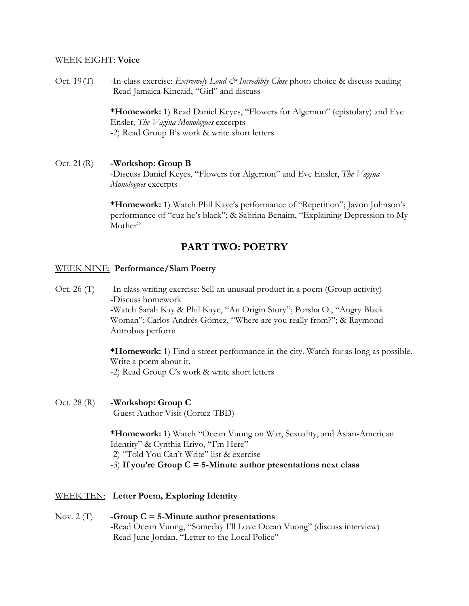### WEEK EIGHT: **Voice**

Oct. 19(T) -In-class exercise: *Extremely Loud*  $\mathcal{C}^{\circ}$  *Incredibly Close* photo choice & discuss reading -Read Jamaica Kincaid, "Girl" and discuss

> **\*Homework:** 1) Read Daniel Keyes, "Flowers for Algernon" (epistolary) and Eve Ensler, *The Vagina Monologues* excerpts -2) Read Group B's work & write short letters

# Oct. 21(R) **-Workshop: Group B**

-Discuss Daniel Keyes, "Flowers for Algernon" and Eve Ensler, *The Vagina Monologues* excerpts

**\*Homework:** 1) Watch Phil Kaye's performance of "Repetition"; Javon Johnson's performance of "cuz he's black"; & Sabrina Benaim, "Explaining Depression to My Mother"

# **PART TWO: POETRY**

### WEEK NINE: **Performance/Slam Poetry**

Oct. 26 (T) -In class writing exercise: Sell an unusual product in a poem (Group activity) -Discuss homework -Watch Sarah Kay & Phil Kaye, "An Origin Story"; Porsha O., "Angry Black Woman"; Carlos Andrés Gómez, "Where are you really from?"; & Raymond Antrobus perform

> **\*Homework:** 1) Find a street performance in the city. Watch for as long as possible. Write a poem about it. -2) Read Group C's work & write short letters

Oct. 28 (R) **-Workshop: Group C**

-Guest Author Visit (Cortez-TBD)

**\*Homework:** 1) Watch "Ocean Vuong on War, Sexuality, and Asian-American Identity" & Cynthia Erivo, "I'm Here"

-2) "Told You Can't Write" list & exercise

-3) **If you're Group C = 5-Minute author presentations next class**

- WEEK TEN: **Letter Poem, Exploring Identity**
- Nov. 2 (T) **-Group C = 5-Minute author presentations** -Read Ocean Vuong, "Someday I'll Love Ocean Vuong" (discuss interview) -Read June Jordan, "Letter to the Local Police"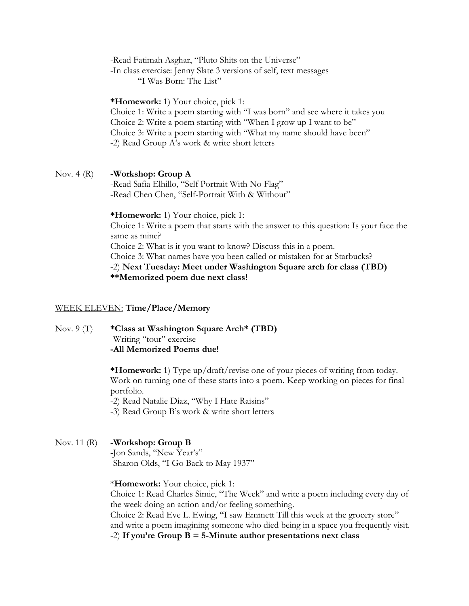-Read Fatimah Asghar, "Pluto Shits on the Universe"

-In class exercise: Jenny Slate 3 versions of self, text messages

"I Was Born: The List"

**\*Homework:** 1) Your choice, pick 1:

Choice 1: Write a poem starting with "I was born" and see where it takes you Choice 2: Write a poem starting with "When I grow up I want to be" Choice 3: Write a poem starting with "What my name should have been" -2) Read Group A's work & write short letters

### Nov. 4 (R) **-Workshop: Group A**

-Read Safia Elhillo, "Self Portrait With No Flag" -Read Chen Chen, "Self-Portrait With & Without"

**\*Homework:** 1) Your choice, pick 1: Choice 1: Write a poem that starts with the answer to this question: Is your face the same as mine? Choice 2: What is it you want to know? Discuss this in a poem. Choice 3: What names have you been called or mistaken for at Starbucks? -2) **Next Tuesday: Meet under Washington Square arch for class (TBD) \*\*Memorized poem due next class!**

#### WEEK ELEVEN: **Time/Place/Memory**

Nov. 9 (T) **\*Class at Washington Square Arch\* (TBD)** -Writing "tour" exercise **-All Memorized Poems due!**

> **\*Homework:** 1) Type up/draft/revise one of your pieces of writing from today. Work on turning one of these starts into a poem. Keep working on pieces for final portfolio.

-2) Read Natalie Diaz, "Why I Hate Raisins"

-3) Read Group B's work & write short letters

# Nov. 11 (R) **-Workshop: Group B**

-Jon Sands, "New Year's" -Sharon Olds, "I Go Back to May 1937"

\***Homework:** Your choice, pick 1:

Choice 1: Read Charles Simic, "The Week" and write a poem including every day of the week doing an action and/or feeling something.

Choice 2: Read Eve L. Ewing, "I saw Emmett Till this week at the grocery store" and write a poem imagining someone who died being in a space you frequently visit.

-2) **If you're Group B = 5-Minute author presentations next class**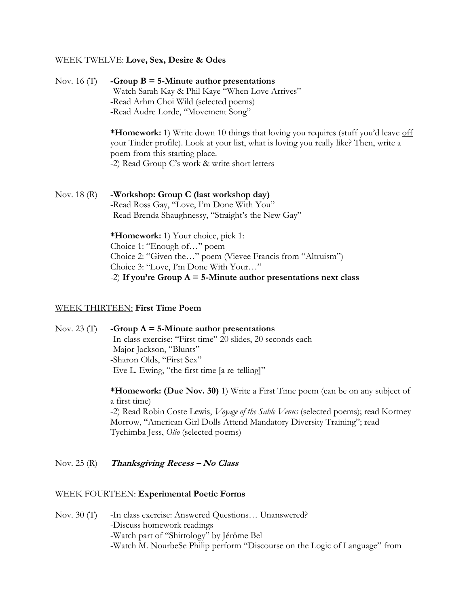#### WEEK TWELVE: **Love, Sex, Desire & Odes**

Nov. 16 (T) **-Group B = 5-Minute author presentations** -Watch Sarah Kay & Phil Kaye "When Love Arrives" -Read Arhm Choi Wild (selected poems) -Read Audre Lorde, "Movement Song"

> **\*Homework:** 1) Write down 10 things that loving you requires (stuff you'd leave off your Tinder profile). Look at your list, what is loving you really like? Then, write a poem from this starting place. -2) Read Group C's work & write short letters

Nov. 18 (R) **-Workshop: Group C (last workshop day)** -Read Ross Gay, "Love, I'm Done With You" -Read Brenda Shaughnessy, "Straight's the New Gay"

> **\*Homework:** 1) Your choice, pick 1: Choice 1: "Enough of…" poem Choice 2: "Given the…" poem (Vievee Francis from "Altruism") Choice 3: "Love, I'm Done With Your…" -2) **If you're Group A = 5-Minute author presentations next class**

#### WEEK THIRTEEN: **First Time Poem**

Nov. 23 (T) **-Group A = 5-Minute author presentations** -In-class exercise: "First time" 20 slides, 20 seconds each -Major Jackson, "Blunts" -Sharon Olds, "First Sex" -Eve L. Ewing, "the first time [a re-telling]"

> **\*Homework: (Due Nov. 30)** 1) Write a First Time poem (can be on any subject of a first time) -2) Read Robin Coste Lewis, *Voyage of the Sable Venus* (selected poems); read Kortney Morrow, "American Girl Dolls Attend Mandatory Diversity Training"; read Tyehimba Jess, *Olio* (selected poems)

Nov. 25 (R) **Thanksgiving Recess – No Class**

# WEEK FOURTEEN: **Experimental Poetic Forms**

Nov. 30 (T) -In class exercise: Answered Questions... Unanswered? -Discuss homework readings -Watch part of "Shirtology" by Jérôme Bel -Watch M. NourbeSe Philip perform "Discourse on the Logic of Language" from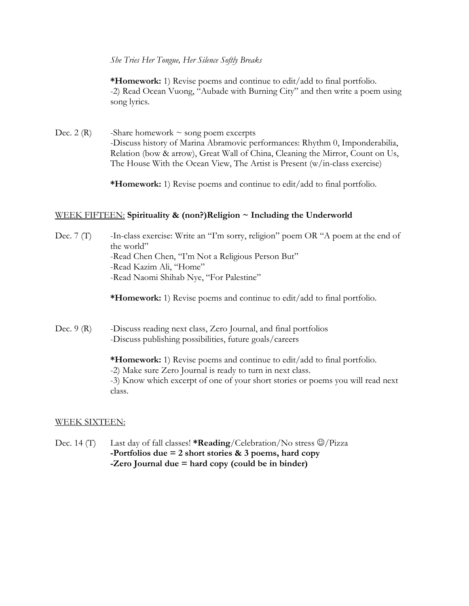*She Tries Her Tongue, Her Silence Softly Breaks*

**\*Homework:** 1) Revise poems and continue to edit/add to final portfolio. -2) Read Ocean Vuong, "Aubade with Burning City" and then write a poem using song lyrics.

Dec. 2 (R) -Share homework  $\sim$  song poem excerpts -Discuss history of Marina Abramovic performances: Rhythm 0, Imponderabilia, Relation (bow & arrow), Great Wall of China, Cleaning the Mirror, Count on Us, The House With the Ocean View, The Artist is Present (w/in-class exercise)

**\*Homework:** 1) Revise poems and continue to edit/add to final portfolio.

# WEEK FIFTEEN: **Spirituality & (non?)Religion ~ Including the Underworld**

Dec. 7 (T) -In-class exercise: Write an "I'm sorry, religion" poem OR "A poem at the end of the world" -Read Chen Chen, "I'm Not a Religious Person But" -Read Kazim Ali, "Home" -Read Naomi Shihab Nye, "For Palestine"

**\*Homework:** 1) Revise poems and continue to edit/add to final portfolio.

Dec. 9 (R) -Discuss reading next class, Zero Journal, and final portfolios -Discuss publishing possibilities, future goals/careers

> **\*Homework:** 1) Revise poems and continue to edit/add to final portfolio. -2) Make sure Zero Journal is ready to turn in next class. -3) Know which excerpt of one of your short stories or poems you will read next class.

# WEEK SIXTEEN:

Dec. 14 (T) Last day of fall classes! **\*Reading**/Celebration/No stress  $\mathcal{O}/\text{Pizza}$ **-Portfolios due = 2 short stories & 3 poems, hard copy -Zero Journal due = hard copy (could be in binder)**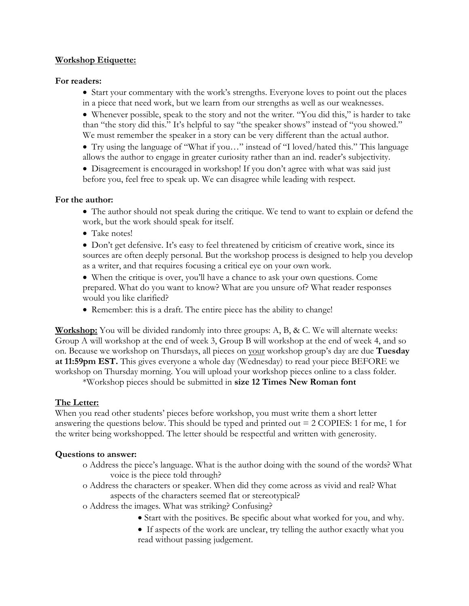# **Workshop Etiquette:**

# **For readers:**

• Start your commentary with the work's strengths. Everyone loves to point out the places in a piece that need work, but we learn from our strengths as well as our weaknesses.

 Whenever possible, speak to the story and not the writer. "You did this," is harder to take than "the story did this." It's helpful to say "the speaker shows" instead of "you showed." We must remember the speaker in a story can be very different than the actual author.

 Try using the language of "What if you…" instead of "I loved/hated this." This language allows the author to engage in greater curiosity rather than an ind. reader's subjectivity.

 Disagreement is encouraged in workshop! If you don't agree with what was said just before you, feel free to speak up. We can disagree while leading with respect.

# **For the author:**

 The author should not speak during the critique. We tend to want to explain or defend the work, but the work should speak for itself.

• Take notes!

• Don't get defensive. It's easy to feel threatened by criticism of creative work, since its sources are often deeply personal. But the workshop process is designed to help you develop as a writer, and that requires focusing a critical eye on your own work.

 When the critique is over, you'll have a chance to ask your own questions. Come prepared. What do you want to know? What are you unsure of? What reader responses would you like clarified?

• Remember: this is a draft. The entire piece has the ability to change!

**Workshop:** You will be divided randomly into three groups: A, B, & C. We will alternate weeks: Group A will workshop at the end of week 3, Group B will workshop at the end of week 4, and so on. Because we workshop on Thursdays, all pieces on your workshop group's day are due **Tuesday at 11:59pm EST.** This gives everyone a whole day (Wednesday) to read your piece BEFORE we workshop on Thursday morning. You will upload your workshop pieces online to a class folder.

\*Workshop pieces should be submitted in **size 12 Times New Roman font**

# **The Letter:**

When you read other students' pieces before workshop, you must write them a short letter answering the questions below. This should be typed and printed out  $= 2$  COPIES: 1 for me, 1 for the writer being workshopped. The letter should be respectful and written with generosity.

# **Questions to answer:**

- o Address the piece's language. What is the author doing with the sound of the words? What voice is the piece told through?
- o Address the characters or speaker. When did they come across as vivid and real? What aspects of the characters seemed flat or stereotypical?
- o Address the images. What was striking? Confusing?
	- Start with the positives. Be specific about what worked for you, and why.
	- If aspects of the work are unclear, try telling the author exactly what you read without passing judgement.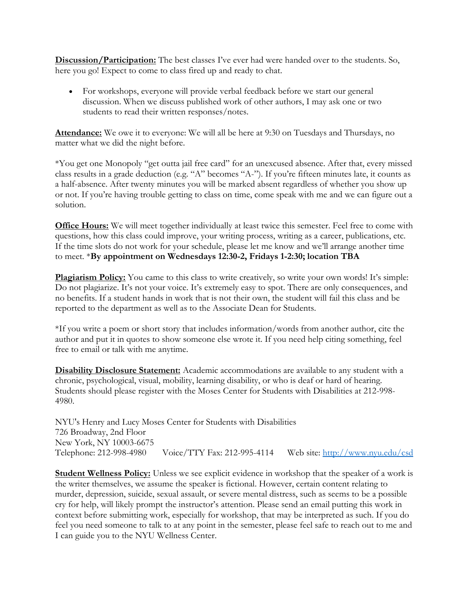**Discussion/Participation:** The best classes I've ever had were handed over to the students. So, here you go! Expect to come to class fired up and ready to chat.

 For workshops, everyone will provide verbal feedback before we start our general discussion. When we discuss published work of other authors, I may ask one or two students to read their written responses/notes.

**Attendance:** We owe it to everyone: We will all be here at 9:30 on Tuesdays and Thursdays, no matter what we did the night before.

\*You get one Monopoly "get outta jail free card" for an unexcused absence. After that, every missed class results in a grade deduction (e.g. "A" becomes "A-"). If you're fifteen minutes late, it counts as a half-absence. After twenty minutes you will be marked absent regardless of whether you show up or not. If you're having trouble getting to class on time, come speak with me and we can figure out a solution.

**Office Hours:** We will meet together individually at least twice this semester. Feel free to come with questions, how this class could improve, your writing process, writing as a career, publications, etc. If the time slots do not work for your schedule, please let me know and we'll arrange another time to meet. \***By appointment on Wednesdays 12:30-2, Fridays 1-2:30; location TBA**

**Plagiarism Policy:** You came to this class to write creatively, so write your own words! It's simple: Do not plagiarize. It's not your voice. It's extremely easy to spot. There are only consequences, and no benefits. If a student hands in work that is not their own, the student will fail this class and be reported to the department as well as to the Associate Dean for Students.

\*If you write a poem or short story that includes information/words from another author, cite the author and put it in quotes to show someone else wrote it. If you need help citing something, feel free to email or talk with me anytime.

**Disability Disclosure Statement:** Academic accommodations are available to any student with a chronic, psychological, visual, mobility, learning disability, or who is deaf or hard of hearing. Students should please register with the Moses Center for Students with Disabilities at 212-998- 4980.

NYU's Henry and Lucy Moses Center for Students with Disabilities 726 Broadway, 2nd Floor New York, NY 10003-6675 Telephone: 212-998-4980 Voice/TTY Fax: 212-995-4114 Web site:<http://www.nyu.edu/csd>

**Student Wellness Policy:** Unless we see explicit evidence in workshop that the speaker of a work is the writer themselves, we assume the speaker is fictional. However, certain content relating to murder, depression, suicide, sexual assault, or severe mental distress, such as seems to be a possible cry for help, will likely prompt the instructor's attention. Please send an email putting this work in context before submitting work, especially for workshop, that may be interpreted as such. If you do feel you need someone to talk to at any point in the semester, please feel safe to reach out to me and I can guide you to the NYU Wellness Center.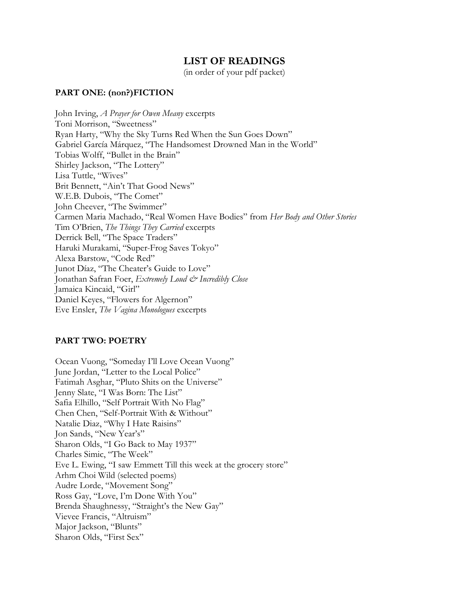# **LIST OF READINGS**

(in order of your pdf packet)

#### **PART ONE: (non?)FICTION**

John Irving, *A Prayer for Owen Meany* excerpts Toni Morrison, "Sweetness" Ryan Harty, "Why the Sky Turns Red When the Sun Goes Down" Gabriel García Márquez, "The Handsomest Drowned Man in the World" Tobias Wolff, "Bullet in the Brain" Shirley Jackson, "The Lottery" Lisa Tuttle, "Wives" Brit Bennett, "Ain't That Good News" W.E.B. Dubois, "The Comet" John Cheever, "The Swimmer" Carmen Maria Machado, "Real Women Have Bodies" from *Her Body and Other Stories* Tim O'Brien, *The Things They Carried* excerpts Derrick Bell, "The Space Traders" Haruki Murakami, "Super-Frog Saves Tokyo" Alexa Barstow, "Code Red" Junot Díaz, "The Cheater's Guide to Love" Jonathan Safran Foer, *Extremely Loud & Incredibly Close* Jamaica Kincaid, "Girl" Daniel Keyes, "Flowers for Algernon" Eve Ensler, *The Vagina Monologues* excerpts

# **PART TWO: POETRY**

Ocean Vuong, "Someday I'll Love Ocean Vuong" June Jordan, "Letter to the Local Police" Fatimah Asghar, "Pluto Shits on the Universe" Jenny Slate, "I Was Born: The List" Safia Elhillo, "Self Portrait With No Flag" Chen Chen, "Self-Portrait With & Without" Natalie Diaz, "Why I Hate Raisins" Jon Sands, "New Year's" Sharon Olds, "I Go Back to May 1937" Charles Simic, "The Week" Eve L. Ewing, "I saw Emmett Till this week at the grocery store" Arhm Choi Wild (selected poems) Audre Lorde, "Movement Song" Ross Gay, "Love, I'm Done With You" Brenda Shaughnessy, "Straight's the New Gay" Vievee Francis, "Altruism" Major Jackson, "Blunts" Sharon Olds, "First Sex"